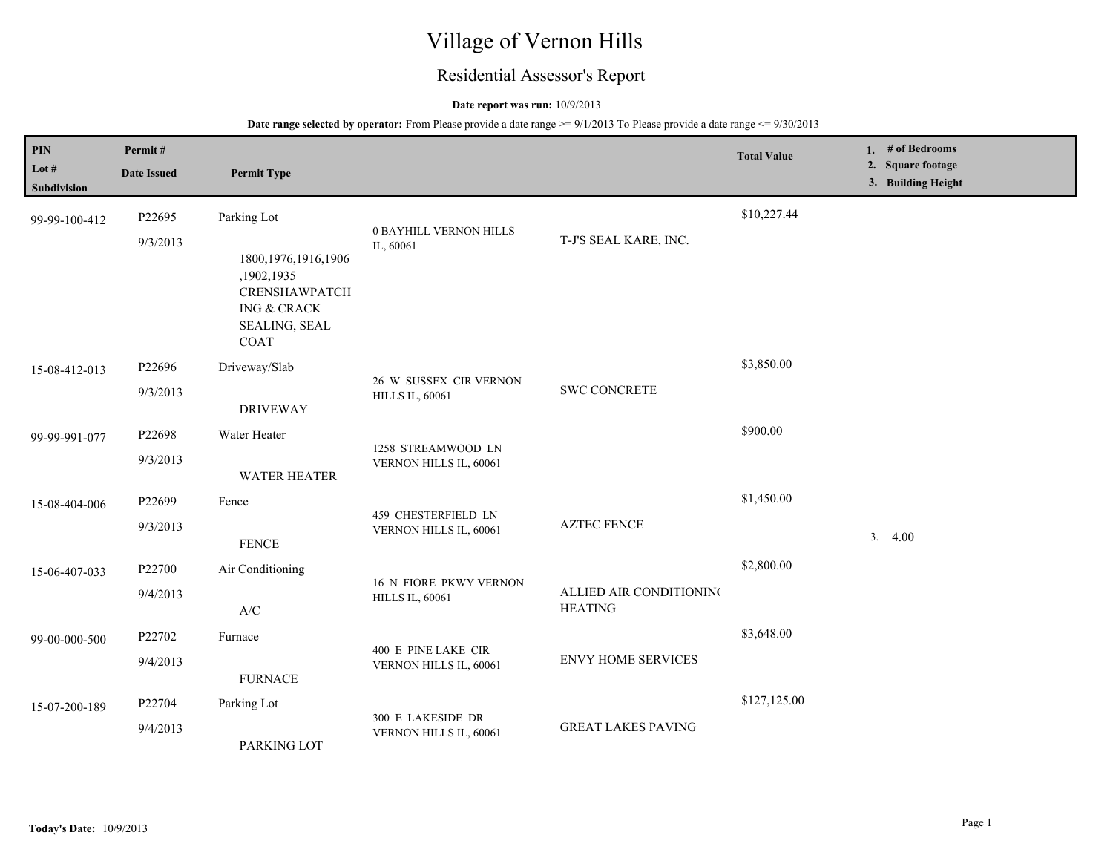# Village of Vernon Hills

## Residential Assessor's Report

#### **Date report was run:** 10/9/2013

| PIN<br>Lot #<br><b>Subdivision</b> | Permit#<br><b>Date Issued</b> | <b>Permit Type</b>                                                                                                             |                                                  |                                           | <b>Total Value</b> | 1. $#$ of Bedrooms<br>2. Square footage<br>3. Building Height |
|------------------------------------|-------------------------------|--------------------------------------------------------------------------------------------------------------------------------|--------------------------------------------------|-------------------------------------------|--------------------|---------------------------------------------------------------|
| 99-99-100-412                      | P22695<br>9/3/2013            | Parking Lot<br>1800, 1976, 1916, 1906<br>,1902,1935<br><b>CRENSHAWPATCH</b><br><b>ING &amp; CRACK</b><br>SEALING, SEAL<br>COAT | <b>0 BAYHILL VERNON HILLS</b><br>IL, 60061       | T-J'S SEAL KARE, INC.                     | \$10,227.44        |                                                               |
| 15-08-412-013                      | P22696<br>9/3/2013            | Driveway/Slab<br><b>DRIVEWAY</b>                                                                                               | 26 W SUSSEX CIR VERNON<br><b>HILLS IL, 60061</b> | <b>SWC CONCRETE</b>                       | \$3,850.00         |                                                               |
| 99-99-991-077                      | P22698<br>9/3/2013            | Water Heater<br>WATER HEATER                                                                                                   | 1258 STREAMWOOD LN<br>VERNON HILLS IL, 60061     |                                           | \$900.00           |                                                               |
| 15-08-404-006                      | P22699<br>9/3/2013            | Fence<br><b>FENCE</b>                                                                                                          | 459 CHESTERFIELD LN<br>VERNON HILLS IL, 60061    | <b>AZTEC FENCE</b>                        | \$1,450.00         | 3.4.00                                                        |
| 15-06-407-033                      | P22700<br>9/4/2013            | Air Conditioning<br>$\ensuremath{\text{A}}\xspace/\ensuremath{\text{C}}\xspace$                                                | 16 N FIORE PKWY VERNON<br><b>HILLS IL, 60061</b> | ALLIED AIR CONDITIONING<br><b>HEATING</b> | \$2,800.00         |                                                               |
| 99-00-000-500                      | P22702<br>9/4/2013            | Furnace<br><b>FURNACE</b>                                                                                                      | 400 E PINE LAKE CIR<br>VERNON HILLS IL, 60061    | <b>ENVY HOME SERVICES</b>                 | \$3,648.00         |                                                               |
| 15-07-200-189                      | P22704<br>9/4/2013            | Parking Lot<br>PARKING LOT                                                                                                     | 300 E LAKESIDE DR<br>VERNON HILLS IL, 60061      | <b>GREAT LAKES PAVING</b>                 | \$127,125.00       |                                                               |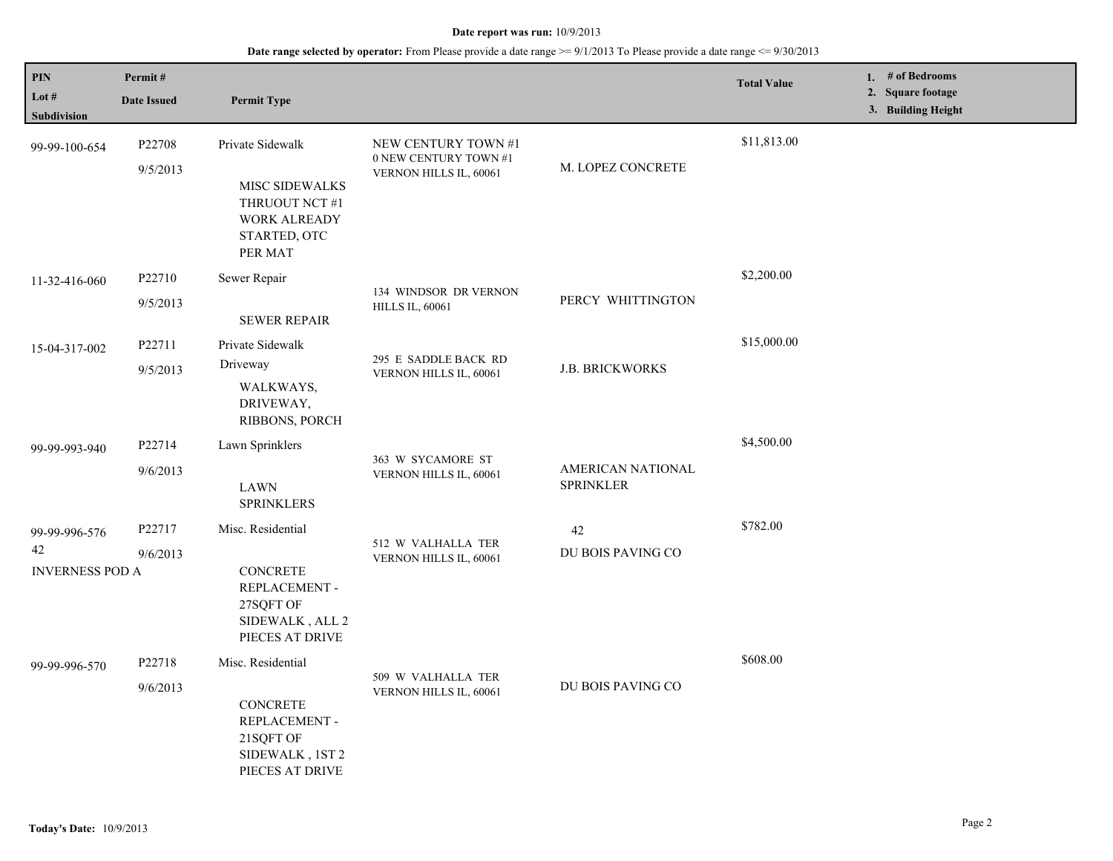| PIN                                           | Permit#            |                                                                                                               |                                                                        |                                       | <b>Total Value</b> | 1. $#$ of Bedrooms                      |
|-----------------------------------------------|--------------------|---------------------------------------------------------------------------------------------------------------|------------------------------------------------------------------------|---------------------------------------|--------------------|-----------------------------------------|
| Lot #<br>Subdivision                          | <b>Date Issued</b> | <b>Permit Type</b>                                                                                            |                                                                        |                                       |                    | 2. Square footage<br>3. Building Height |
| 99-99-100-654                                 | P22708<br>9/5/2013 | Private Sidewalk<br><b>MISC SIDEWALKS</b><br>THRUOUT NCT #1<br><b>WORK ALREADY</b><br>STARTED, OTC<br>PER MAT | NEW CENTURY TOWN #1<br>0 NEW CENTURY TOWN #1<br>VERNON HILLS IL, 60061 | M. LOPEZ CONCRETE                     | \$11,813.00        |                                         |
| 11-32-416-060                                 | P22710<br>9/5/2013 | Sewer Repair<br><b>SEWER REPAIR</b>                                                                           | 134 WINDSOR DR VERNON<br><b>HILLS IL, 60061</b>                        | PERCY WHITTINGTON                     | \$2,200.00         |                                         |
| 15-04-317-002                                 | P22711<br>9/5/2013 | Private Sidewalk<br>Driveway<br>WALKWAYS,<br>DRIVEWAY,<br>RIBBONS, PORCH                                      | 295 E SADDLE BACK RD<br>VERNON HILLS IL, 60061                         | <b>J.B. BRICKWORKS</b>                | \$15,000.00        |                                         |
| 99-99-993-940                                 | P22714<br>9/6/2013 | Lawn Sprinklers<br><b>LAWN</b><br><b>SPRINKLERS</b>                                                           | 363 W SYCAMORE ST<br>VERNON HILLS IL, 60061                            | AMERICAN NATIONAL<br><b>SPRINKLER</b> | \$4,500.00         |                                         |
| 99-99-996-576<br>42<br><b>INVERNESS POD A</b> | P22717<br>9/6/2013 | Misc. Residential<br><b>CONCRETE</b><br>REPLACEMENT -<br>27SQFT OF<br>SIDEWALK, ALL 2<br>PIECES AT DRIVE      | 512 W VALHALLA TER<br>VERNON HILLS IL, 60061                           | 42<br>DU BOIS PAVING CO               | \$782.00           |                                         |
| 99-99-996-570                                 | P22718<br>9/6/2013 | Misc. Residential<br><b>CONCRETE</b><br>REPLACEMENT -<br>21SQFT OF<br>SIDEWALK, 1ST 2<br>PIECES AT DRIVE      | 509 W VALHALLA TER<br>VERNON HILLS IL, 60061                           | DU BOIS PAVING CO                     | \$608.00           |                                         |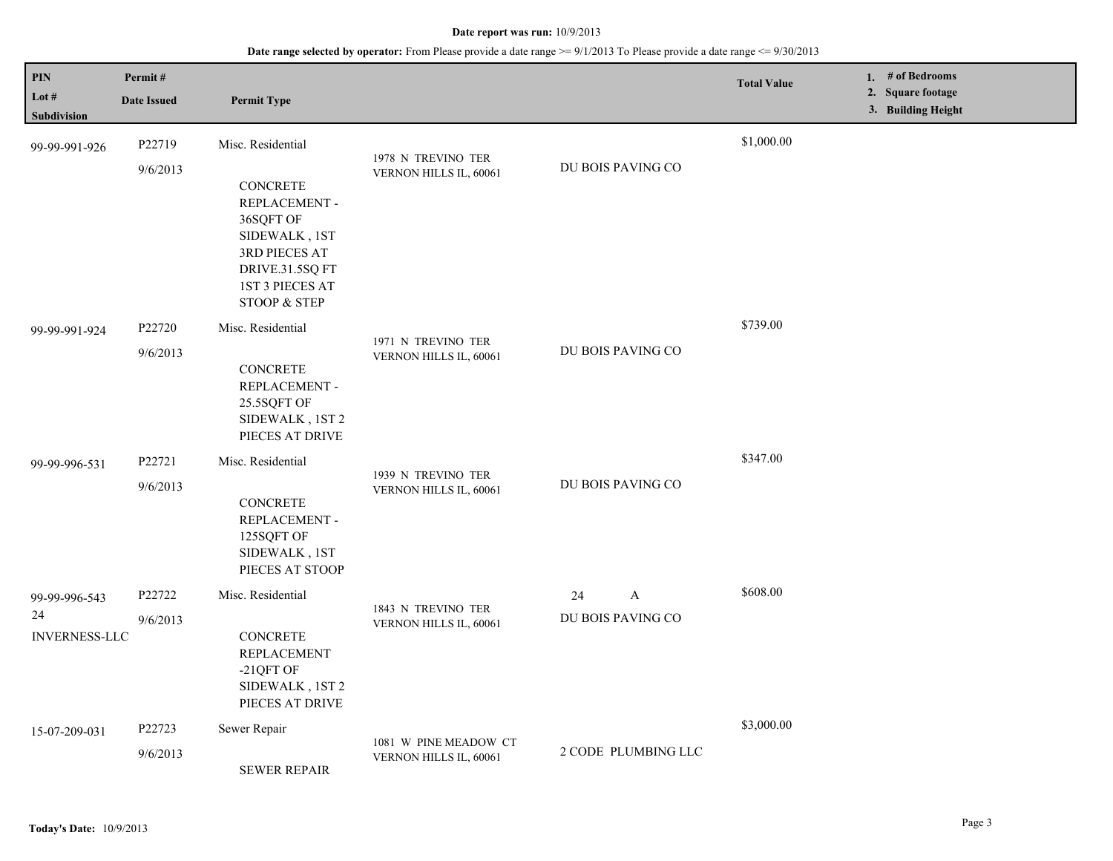| PIN<br>Lot #<br>Subdivision                 | Permit#<br><b>Date Issued</b> | <b>Permit Type</b>                                                                                                                                                    |                                                 |                                             | <b>Total Value</b> | 1. $#$ of Bedrooms<br>2. Square footage<br>3. Building Height |
|---------------------------------------------|-------------------------------|-----------------------------------------------------------------------------------------------------------------------------------------------------------------------|-------------------------------------------------|---------------------------------------------|--------------------|---------------------------------------------------------------|
| 99-99-991-926                               | P22719<br>9/6/2013            | Misc. Residential<br><b>CONCRETE</b><br>REPLACEMENT -<br>36SQFT OF<br>SIDEWALK, 1ST<br>3RD PIECES AT<br>DRIVE.31.5SQ FT<br>1ST 3 PIECES AT<br><b>STOOP &amp; STEP</b> | 1978 N TREVINO TER<br>VERNON HILLS IL, 60061    | DU BOIS PAVING CO                           | \$1,000.00         |                                                               |
| 99-99-991-924                               | P22720<br>9/6/2013            | Misc. Residential<br><b>CONCRETE</b><br>REPLACEMENT -<br>25.5SQFT OF<br>SIDEWALK, 1ST 2<br>PIECES AT DRIVE                                                            | 1971 N TREVINO TER<br>VERNON HILLS IL, 60061    | DU BOIS PAVING CO                           | \$739.00           |                                                               |
| 99-99-996-531                               | P22721<br>9/6/2013            | Misc. Residential<br><b>CONCRETE</b><br>REPLACEMENT -<br>125SQFT OF<br>SIDEWALK, 1ST<br>PIECES AT STOOP                                                               | 1939 N TREVINO TER<br>VERNON HILLS IL, 60061    | DU BOIS PAVING CO                           | \$347.00           |                                                               |
| 99-99-996-543<br>24<br><b>INVERNESS-LLC</b> | P22722<br>9/6/2013            | Misc. Residential<br><b>CONCRETE</b><br><b>REPLACEMENT</b><br>-21QFT OF<br>SIDEWALK, 1ST 2<br>PIECES AT DRIVE                                                         | 1843 N TREVINO TER<br>VERNON HILLS IL, 60061    | $\boldsymbol{A}$<br>24<br>DU BOIS PAVING CO | \$608.00           |                                                               |
| 15-07-209-031                               | P22723<br>9/6/2013            | Sewer Repair<br><b>SEWER REPAIR</b>                                                                                                                                   | 1081 W PINE MEADOW CT<br>VERNON HILLS IL, 60061 | 2 CODE PLUMBING LLC                         | \$3,000.00         |                                                               |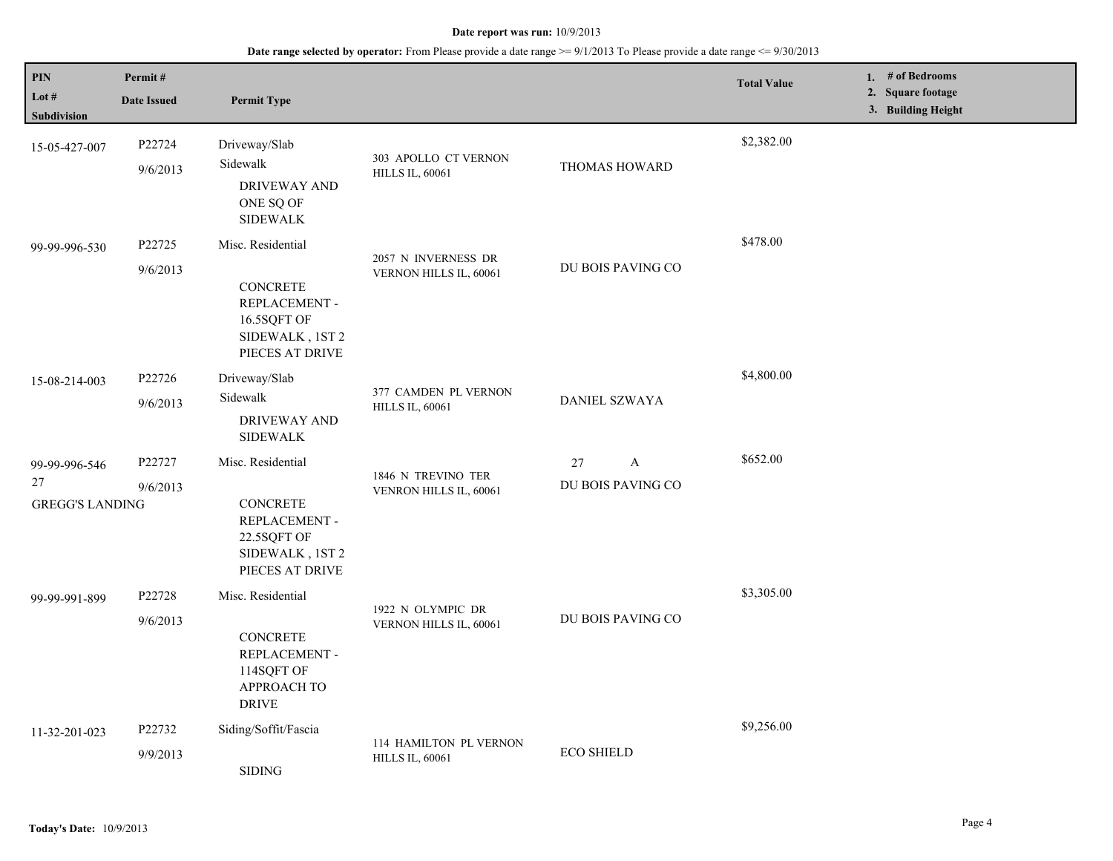| PIN<br>Lot #<br>Subdivision                   | Permit#<br><b>Date Issued</b> | <b>Permit Type</b>                                                                                         |                                                  |                                         | <b>Total Value</b> | 1. # of Bedrooms<br>2. Square footage<br>3. Building Height |
|-----------------------------------------------|-------------------------------|------------------------------------------------------------------------------------------------------------|--------------------------------------------------|-----------------------------------------|--------------------|-------------------------------------------------------------|
| 15-05-427-007                                 | P22724<br>9/6/2013            | Driveway/Slab<br>Sidewalk<br><b>DRIVEWAY AND</b><br>ONE SQ OF<br><b>SIDEWALK</b>                           | 303 APOLLO CT VERNON<br><b>HILLS IL, 60061</b>   | THOMAS HOWARD                           | \$2,382.00         |                                                             |
| 99-99-996-530                                 | P22725<br>9/6/2013            | Misc. Residential<br><b>CONCRETE</b><br>REPLACEMENT -<br>16.5SQFT OF<br>SIDEWALK, 1ST 2<br>PIECES AT DRIVE | 2057 N INVERNESS DR<br>VERNON HILLS IL, 60061    | DU BOIS PAVING CO                       | \$478.00           |                                                             |
| 15-08-214-003                                 | P22726<br>9/6/2013            | Driveway/Slab<br>Sidewalk<br>DRIVEWAY AND<br><b>SIDEWALK</b>                                               | 377 CAMDEN PL VERNON<br><b>HILLS IL, 60061</b>   | DANIEL SZWAYA                           | \$4,800.00         |                                                             |
| 99-99-996-546<br>27<br><b>GREGG'S LANDING</b> | P22727<br>9/6/2013            | Misc. Residential<br><b>CONCRETE</b><br>REPLACEMENT -<br>22.5SQFT OF<br>SIDEWALK, 1ST 2<br>PIECES AT DRIVE | 1846 N TREVINO TER<br>VENRON HILLS IL, 60061     | $\mathbf{A}$<br>27<br>DU BOIS PAVING CO | \$652.00           |                                                             |
| 99-99-991-899                                 | P22728<br>9/6/2013            | Misc. Residential<br><b>CONCRETE</b><br>REPLACEMENT -<br>114SQFT OF<br><b>APPROACH TO</b><br><b>DRIVE</b>  | 1922 N OLYMPIC DR<br>VERNON HILLS IL, 60061      | DU BOIS PAVING CO                       | \$3,305.00         |                                                             |
| 11-32-201-023                                 | P22732<br>9/9/2013            | Siding/Soffit/Fascia<br><b>SIDING</b>                                                                      | 114 HAMILTON PL VERNON<br><b>HILLS IL, 60061</b> | <b>ECO SHIELD</b>                       | \$9,256.00         |                                                             |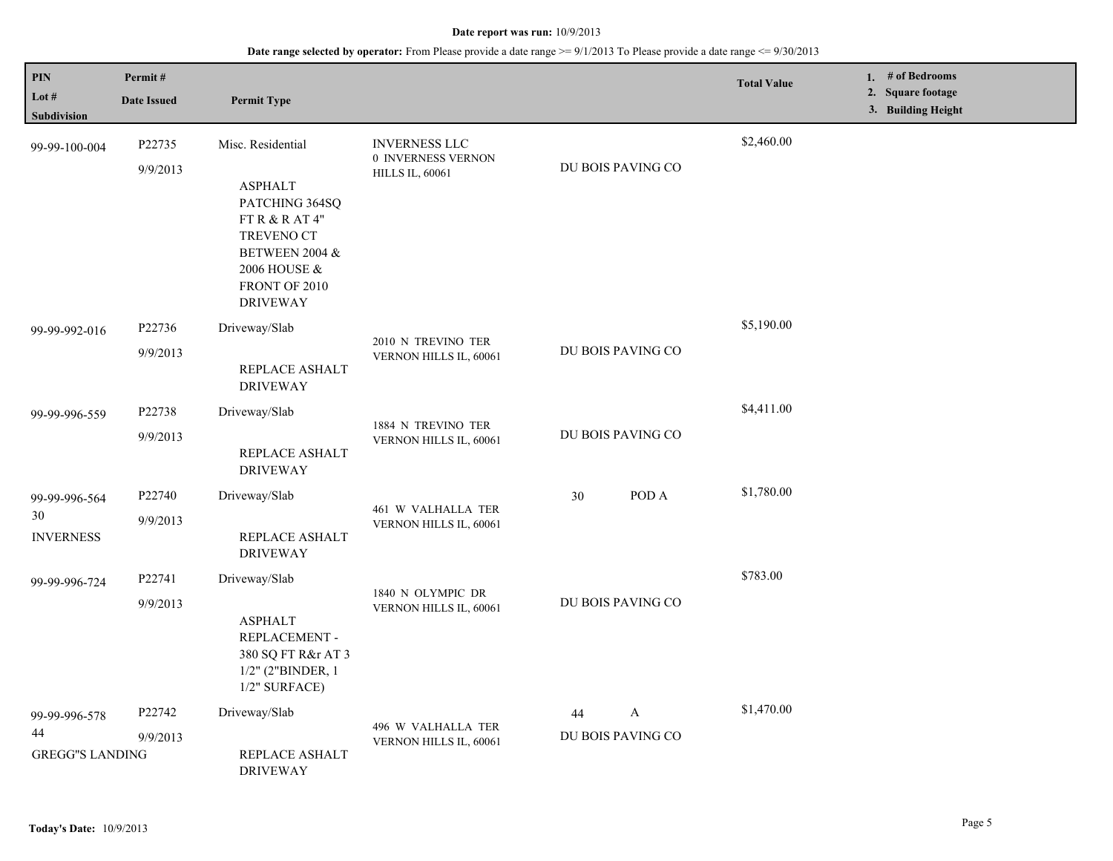## **Date range selected by operator:** From Please provide a date range >= 9/1/2013 To Please provide a date range <= 9/30/2013

| PIN<br>Lot #<br>Subdivision                   | Permit#<br><b>Date Issued</b> | <b>Permit Type</b>                                                                                                                                            |                                                                      |                                         | <b>Total Value</b> | 1. # of Bedrooms<br>2. Square footage<br>3. Building Height |
|-----------------------------------------------|-------------------------------|---------------------------------------------------------------------------------------------------------------------------------------------------------------|----------------------------------------------------------------------|-----------------------------------------|--------------------|-------------------------------------------------------------|
| 99-99-100-004                                 | P22735<br>9/9/2013            | Misc. Residential<br><b>ASPHALT</b><br>PATCHING 364SQ<br>FT R $&$ R AT 4"<br>TREVENO CT<br>BETWEEN 2004 &<br>2006 HOUSE &<br>FRONT OF 2010<br><b>DRIVEWAY</b> | <b>INVERNESS LLC</b><br>0 INVERNESS VERNON<br><b>HILLS IL, 60061</b> | DU BOIS PAVING CO                       | \$2,460.00         |                                                             |
| 99-99-992-016                                 | P22736<br>9/9/2013            | Driveway/Slab<br>REPLACE ASHALT<br><b>DRIVEWAY</b>                                                                                                            | 2010 N TREVINO TER<br>VERNON HILLS IL, 60061                         | DU BOIS PAVING CO                       | \$5,190.00         |                                                             |
| 99-99-996-559                                 | P22738<br>9/9/2013            | Driveway/Slab<br>REPLACE ASHALT<br><b>DRIVEWAY</b>                                                                                                            | 1884 N TREVINO TER<br>VERNON HILLS IL, 60061                         | DU BOIS PAVING CO                       | \$4,411.00         |                                                             |
| 99-99-996-564<br>30<br><b>INVERNESS</b>       | P22740<br>9/9/2013            | Driveway/Slab<br>REPLACE ASHALT<br><b>DRIVEWAY</b>                                                                                                            | 461 W VALHALLA TER<br>VERNON HILLS IL, 60061                         | POD A<br>30                             | \$1,780.00         |                                                             |
| 99-99-996-724                                 | P22741<br>9/9/2013            | Driveway/Slab<br><b>ASPHALT</b><br>REPLACEMENT -<br>380 SQ FT R&r AT 3<br>$1/2"$ (2"BINDER, 1<br>$1/2$ " SURFACE)                                             | 1840 N OLYMPIC DR<br>VERNON HILLS IL, 60061                          | DU BOIS PAVING CO                       | \$783.00           |                                                             |
| 99-99-996-578<br>44<br><b>GREGG"S LANDING</b> | P22742<br>9/9/2013            | Driveway/Slab<br>REPLACE ASHALT<br><b>DRIVEWAY</b>                                                                                                            | 496 W VALHALLA TER<br>VERNON HILLS IL, 60061                         | $\mathbf{A}$<br>44<br>DU BOIS PAVING CO | \$1,470.00         |                                                             |

L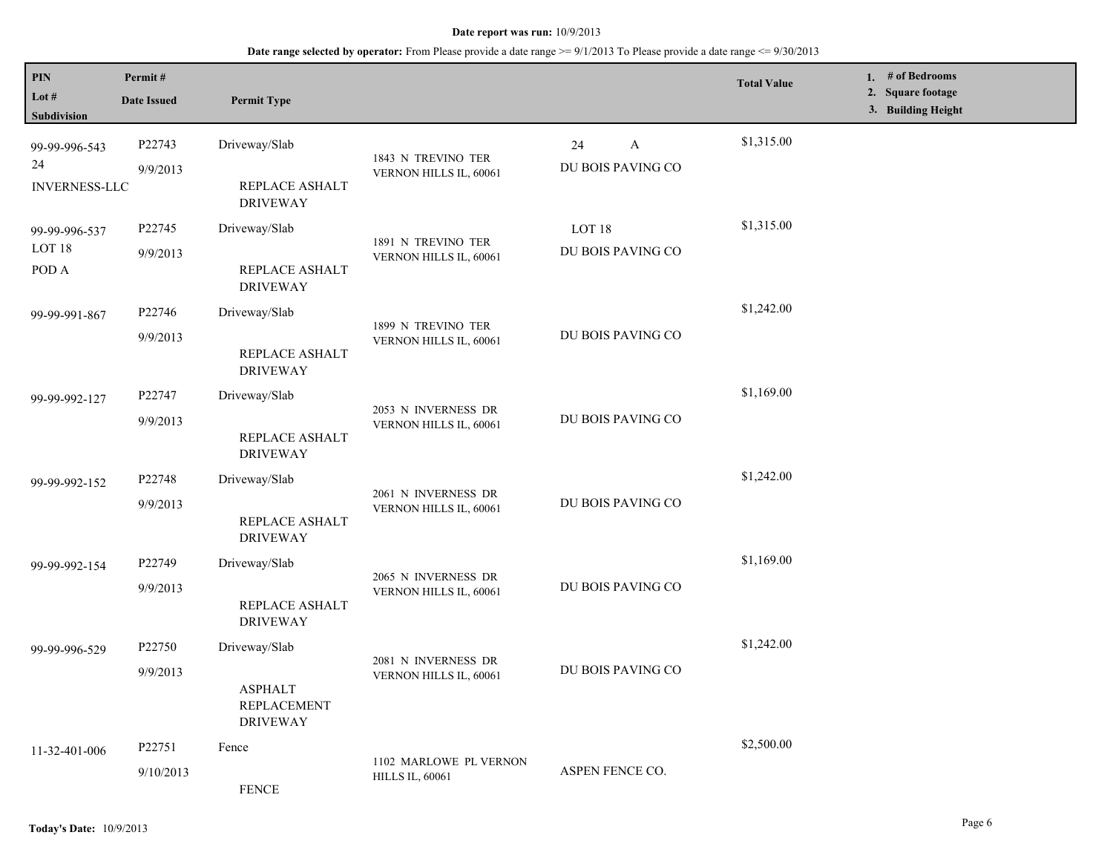**Date range selected by operator:** From Please provide a date range >= 9/1/2013 To Please provide a date range <= 9/30/2013

| PIN<br>Lot #<br>Subdivision                 | Permit#<br><b>Date Issued</b> | <b>Permit Type</b>                                      |                                                  |                              | <b>Total Value</b> | 1. # of Bedrooms<br>2. Square footage<br>3. Building Height |
|---------------------------------------------|-------------------------------|---------------------------------------------------------|--------------------------------------------------|------------------------------|--------------------|-------------------------------------------------------------|
| 99-99-996-543<br>24<br><b>INVERNESS-LLC</b> | P22743<br>9/9/2013            | Driveway/Slab<br>REPLACE ASHALT                         | 1843 N TREVINO TER<br>VERNON HILLS IL, 60061     | A<br>24<br>DU BOIS PAVING CO | \$1,315.00         |                                                             |
|                                             |                               | <b>DRIVEWAY</b>                                         |                                                  |                              |                    |                                                             |
| 99-99-996-537<br>LOT <sub>18</sub>          | P22745                        | Driveway/Slab                                           | 1891 N TREVINO TER                               | LOT <sub>18</sub>            | \$1,315.00         |                                                             |
| POD A                                       | 9/9/2013                      | REPLACE ASHALT<br><b>DRIVEWAY</b>                       | VERNON HILLS IL, 60061                           | DU BOIS PAVING CO            |                    |                                                             |
| 99-99-991-867                               | P22746                        | Driveway/Slab                                           | 1899 N TREVINO TER<br>VERNON HILLS IL, 60061     |                              | \$1,242.00         |                                                             |
|                                             | 9/9/2013                      | REPLACE ASHALT<br><b>DRIVEWAY</b>                       |                                                  | DU BOIS PAVING CO            |                    |                                                             |
| 99-99-992-127                               | P22747                        | Driveway/Slab                                           | 2053 N INVERNESS DR                              |                              | \$1,169.00         |                                                             |
|                                             | 9/9/2013                      | REPLACE ASHALT<br><b>DRIVEWAY</b>                       | VERNON HILLS IL, 60061                           | DU BOIS PAVING CO            |                    |                                                             |
| 99-99-992-152                               | P22748                        | Driveway/Slab                                           | 2061 N INVERNESS DR<br>VERNON HILLS IL, 60061    | DU BOIS PAVING CO            | \$1,242.00         |                                                             |
|                                             | 9/9/2013                      | REPLACE ASHALT<br><b>DRIVEWAY</b>                       |                                                  |                              |                    |                                                             |
| 99-99-992-154                               | P22749                        | Driveway/Slab                                           | 2065 N INVERNESS DR                              |                              | \$1,169.00         |                                                             |
|                                             | 9/9/2013                      | REPLACE ASHALT<br><b>DRIVEWAY</b>                       | VERNON HILLS IL, 60061                           | DU BOIS PAVING CO            |                    |                                                             |
| 99-99-996-529                               | P22750                        | Driveway/Slab                                           |                                                  |                              | \$1,242.00         |                                                             |
|                                             | 9/9/2013                      | <b>ASPHALT</b><br><b>REPLACEMENT</b><br><b>DRIVEWAY</b> | 2081 N INVERNESS DR<br>VERNON HILLS IL, 60061    | DU BOIS PAVING CO            |                    |                                                             |
| 11-32-401-006                               | P22751                        | Fence                                                   |                                                  |                              | \$2,500.00         |                                                             |
|                                             | 9/10/2013                     | <b>FENCE</b>                                            | 1102 MARLOWE PL VERNON<br><b>HILLS IL, 60061</b> | ASPEN FENCE CO.              |                    |                                                             |

L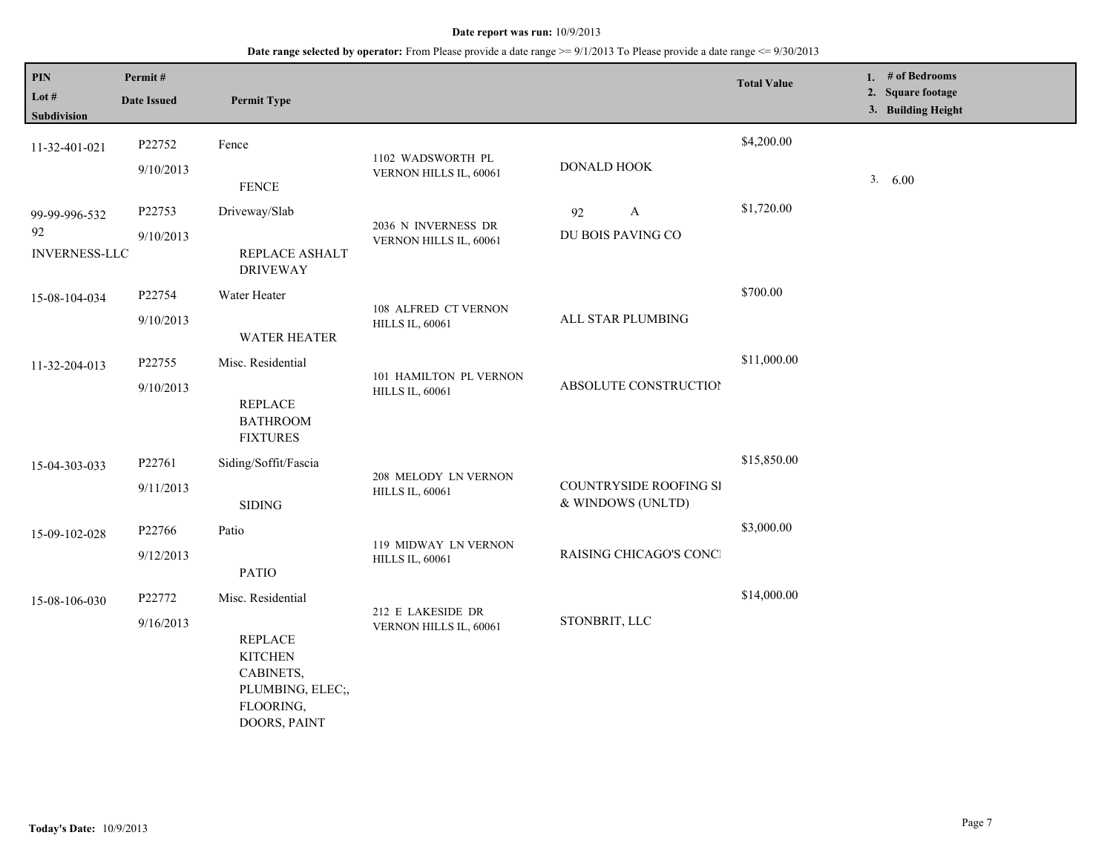| PIN<br>Lot #<br><b>Subdivision</b>          | Permit#<br><b>Date Issued</b> | <b>Permit Type</b>                                                                                                  |                                                  |                                             | <b>Total Value</b> | 1. # of Bedrooms<br>2. Square footage<br>3. Building Height |
|---------------------------------------------|-------------------------------|---------------------------------------------------------------------------------------------------------------------|--------------------------------------------------|---------------------------------------------|--------------------|-------------------------------------------------------------|
| 11-32-401-021                               | P22752<br>9/10/2013           | Fence<br><b>FENCE</b>                                                                                               | 1102 WADSWORTH PL<br>VERNON HILLS IL, 60061      | DONALD HOOK                                 | \$4,200.00         | 3.600                                                       |
| 99-99-996-532<br>92<br><b>INVERNESS-LLC</b> | P22753<br>9/10/2013           | Driveway/Slab<br>REPLACE ASHALT<br><b>DRIVEWAY</b>                                                                  | 2036 N INVERNESS DR<br>VERNON HILLS IL, 60061    | $\mathbf{A}$<br>92<br>DU BOIS PAVING CO     | \$1,720.00         |                                                             |
| 15-08-104-034                               | P22754<br>9/10/2013           | Water Heater<br><b>WATER HEATER</b>                                                                                 | 108 ALFRED CT VERNON<br><b>HILLS IL, 60061</b>   | ALL STAR PLUMBING                           | \$700.00           |                                                             |
| 11-32-204-013                               | P22755<br>9/10/2013           | Misc. Residential<br><b>REPLACE</b><br><b>BATHROOM</b><br><b>FIXTURES</b>                                           | 101 HAMILTON PL VERNON<br><b>HILLS IL, 60061</b> | ABSOLUTE CONSTRUCTION                       | \$11,000.00        |                                                             |
| 15-04-303-033                               | P22761<br>9/11/2013           | Siding/Soffit/Fascia<br><b>SIDING</b>                                                                               | 208 MELODY LN VERNON<br><b>HILLS IL, 60061</b>   | COUNTRYSIDE ROOFING SI<br>& WINDOWS (UNLTD) | \$15,850.00        |                                                             |
| 15-09-102-028                               | P22766<br>9/12/2013           | Patio<br><b>PATIO</b>                                                                                               | 119 MIDWAY LN VERNON<br><b>HILLS IL, 60061</b>   | RAISING CHICAGO'S CONCI                     | \$3,000.00         |                                                             |
| 15-08-106-030                               | P22772<br>9/16/2013           | Misc. Residential<br><b>REPLACE</b><br><b>KITCHEN</b><br>CABINETS,<br>PLUMBING, ELEC;,<br>FLOORING,<br>DOORS, PAINT | 212 E LAKESIDE DR<br>VERNON HILLS IL, 60061      | STONBRIT, LLC                               | \$14,000.00        |                                                             |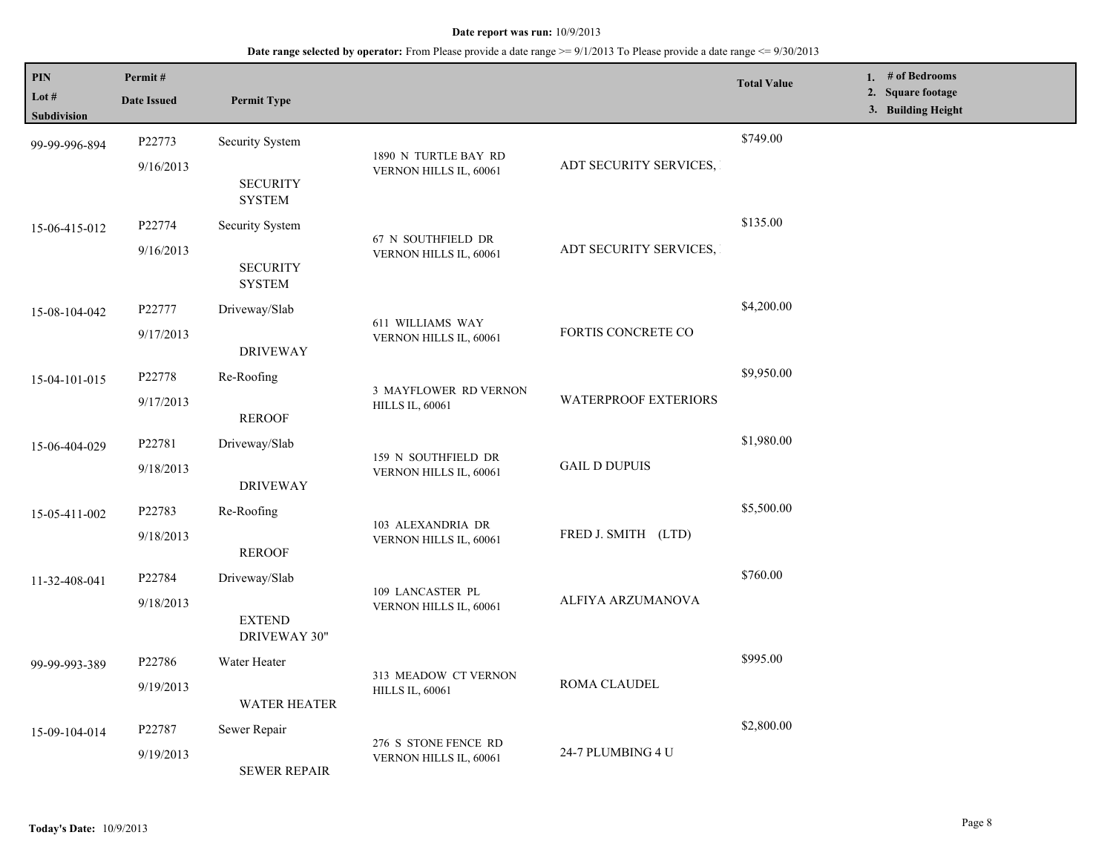| PIN<br>Lot $#$     | Permit#<br><b>Date Issued</b> | <b>Permit Type</b>                             |                                                 |                             | <b>Total Value</b> | 1. # of Bedrooms<br>2. Square footage<br>3. Building Height |
|--------------------|-------------------------------|------------------------------------------------|-------------------------------------------------|-----------------------------|--------------------|-------------------------------------------------------------|
| <b>Subdivision</b> |                               |                                                |                                                 |                             |                    |                                                             |
| 99-99-996-894      | P22773                        | Security System                                |                                                 |                             | \$749.00           |                                                             |
|                    | 9/16/2013                     |                                                | 1890 N TURTLE BAY RD<br>VERNON HILLS IL, 60061  | ADT SECURITY SERVICES,      |                    |                                                             |
|                    |                               | <b>SECURITY</b><br><b>SYSTEM</b>               |                                                 |                             |                    |                                                             |
| 15-06-415-012      | P22774                        | Security System                                |                                                 |                             | \$135.00           |                                                             |
|                    | 9/16/2013                     |                                                | 67 N SOUTHFIELD DR<br>VERNON HILLS IL, 60061    | ADT SECURITY SERVICES,      |                    |                                                             |
|                    |                               | <b>SECURITY</b><br><b>SYSTEM</b>               |                                                 |                             |                    |                                                             |
| 15-08-104-042      | P22777                        | Driveway/Slab                                  |                                                 |                             | \$4,200.00         |                                                             |
|                    | 9/17/2013                     |                                                | 611 WILLIAMS WAY<br>VERNON HILLS IL, 60061      | FORTIS CONCRETE CO          |                    |                                                             |
|                    |                               | <b>DRIVEWAY</b>                                |                                                 |                             |                    |                                                             |
| 15-04-101-015      | P22778                        | Re-Roofing                                     |                                                 |                             | \$9,950.00         |                                                             |
|                    | 9/17/2013                     |                                                | 3 MAYFLOWER RD VERNON<br><b>HILLS IL, 60061</b> | <b>WATERPROOF EXTERIORS</b> |                    |                                                             |
|                    |                               | <b>REROOF</b>                                  |                                                 |                             |                    |                                                             |
| 15-06-404-029      | P22781                        | Driveway/Slab                                  |                                                 | <b>GAIL D DUPUIS</b>        | \$1,980.00         |                                                             |
|                    | 9/18/2013                     |                                                | 159 N SOUTHFIELD DR<br>VERNON HILLS IL, 60061   |                             |                    |                                                             |
|                    |                               | <b>DRIVEWAY</b>                                |                                                 |                             |                    |                                                             |
| 15-05-411-002      | P22783                        | Re-Roofing                                     |                                                 |                             | \$5,500.00         |                                                             |
|                    | 9/18/2013                     |                                                | 103 ALEXANDRIA DR<br>VERNON HILLS IL, 60061     | FRED J. SMITH (LTD)         |                    |                                                             |
|                    |                               | <b>REROOF</b>                                  |                                                 |                             |                    |                                                             |
| 11-32-408-041      | P22784                        | Driveway/Slab                                  |                                                 |                             | \$760.00           |                                                             |
|                    | 9/18/2013                     |                                                | 109 LANCASTER PL<br>VERNON HILLS IL, 60061      | ALFIYA ARZUMANOVA           |                    |                                                             |
|                    |                               | <b>EXTEND</b>                                  |                                                 |                             |                    |                                                             |
|                    |                               | DRIVEWAY 30"                                   |                                                 |                             |                    |                                                             |
| 99-99-993-389      | P22786                        | Water Heater                                   | 313 MEADOW CT VERNON                            |                             | \$995.00           |                                                             |
|                    | 9/19/2013                     |                                                | <b>HILLS IL, 60061</b>                          | ROMA CLAUDEL                |                    |                                                             |
|                    |                               | <b>WATER HEATER</b>                            |                                                 |                             |                    |                                                             |
| 15-09-104-014      | P22787                        | Sewer Repair                                   |                                                 |                             | \$2,800.00         |                                                             |
|                    | 9/19/2013                     | 276 S STONE FENCE RD<br>VERNON HILLS IL, 60061 | 24-7 PLUMBING 4 U                               |                             |                    |                                                             |
|                    |                               | <b>SEWER REPAIR</b>                            |                                                 |                             |                    |                                                             |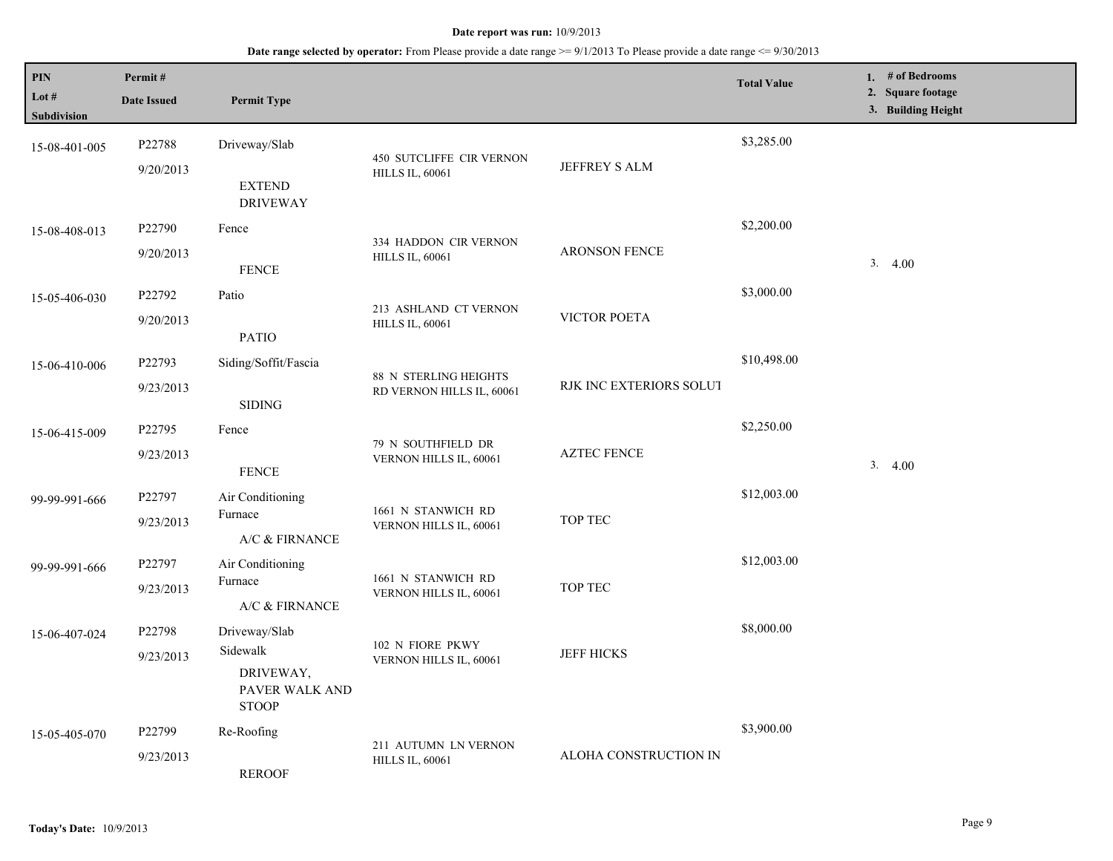| PIN<br>Lot #<br><b>Subdivision</b> | Permit#<br><b>Date Issued</b> | <b>Permit Type</b>                                                       |                                                    |                         | <b>Total Value</b> | 1. $#$ of Bedrooms<br>2. Square footage<br>3. Building Height |
|------------------------------------|-------------------------------|--------------------------------------------------------------------------|----------------------------------------------------|-------------------------|--------------------|---------------------------------------------------------------|
| 15-08-401-005                      | P22788<br>9/20/2013           | Driveway/Slab<br><b>EXTEND</b><br><b>DRIVEWAY</b>                        | 450 SUTCLIFFE CIR VERNON<br><b>HILLS IL, 60061</b> | JEFFREY S ALM           | \$3,285.00         |                                                               |
| 15-08-408-013                      | P22790<br>9/20/2013           | Fence<br><b>FENCE</b>                                                    | 334 HADDON CIR VERNON<br><b>HILLS IL, 60061</b>    | <b>ARONSON FENCE</b>    | \$2,200.00         | 3.4.00                                                        |
| 15-05-406-030                      | P22792<br>9/20/2013           | Patio<br><b>PATIO</b>                                                    | 213 ASHLAND CT VERNON<br><b>HILLS IL, 60061</b>    | VICTOR POETA            | \$3,000.00         |                                                               |
| 15-06-410-006                      | P22793<br>9/23/2013           | Siding/Soffit/Fascia<br><b>SIDING</b>                                    | 88 N STERLING HEIGHTS<br>RD VERNON HILLS IL, 60061 | RJK INC EXTERIORS SOLUT | \$10,498.00        |                                                               |
| 15-06-415-009                      | P22795<br>9/23/2013           | Fence<br>${\tt FENCE}$                                                   | 79 N SOUTHFIELD DR<br>VERNON HILLS IL, 60061       | <b>AZTEC FENCE</b>      | \$2,250.00         | 3.4.00                                                        |
| 99-99-991-666                      | P22797<br>9/23/2013           | Air Conditioning<br>Furnace<br>A/C & FIRNANCE                            | 1661 N STANWICH RD<br>VERNON HILLS IL, 60061       | TOP TEC                 | \$12,003.00        |                                                               |
| 99-99-991-666                      | P22797<br>9/23/2013           | Air Conditioning<br>Furnace<br>A/C & FIRNANCE                            | 1661 N STANWICH RD<br>VERNON HILLS IL, 60061       | TOP TEC                 | \$12,003.00        |                                                               |
| 15-06-407-024                      | P22798<br>9/23/2013           | Driveway/Slab<br>Sidewalk<br>DRIVEWAY,<br>PAVER WALK AND<br><b>STOOP</b> | 102 N FIORE PKWY<br>VERNON HILLS IL, 60061         | <b>JEFF HICKS</b>       | \$8,000.00         |                                                               |
| 15-05-405-070                      | P22799<br>9/23/2013           | Re-Roofing<br><b>REROOF</b>                                              | 211 AUTUMN LN VERNON<br><b>HILLS IL, 60061</b>     | ALOHA CONSTRUCTION IN   | \$3,900.00         |                                                               |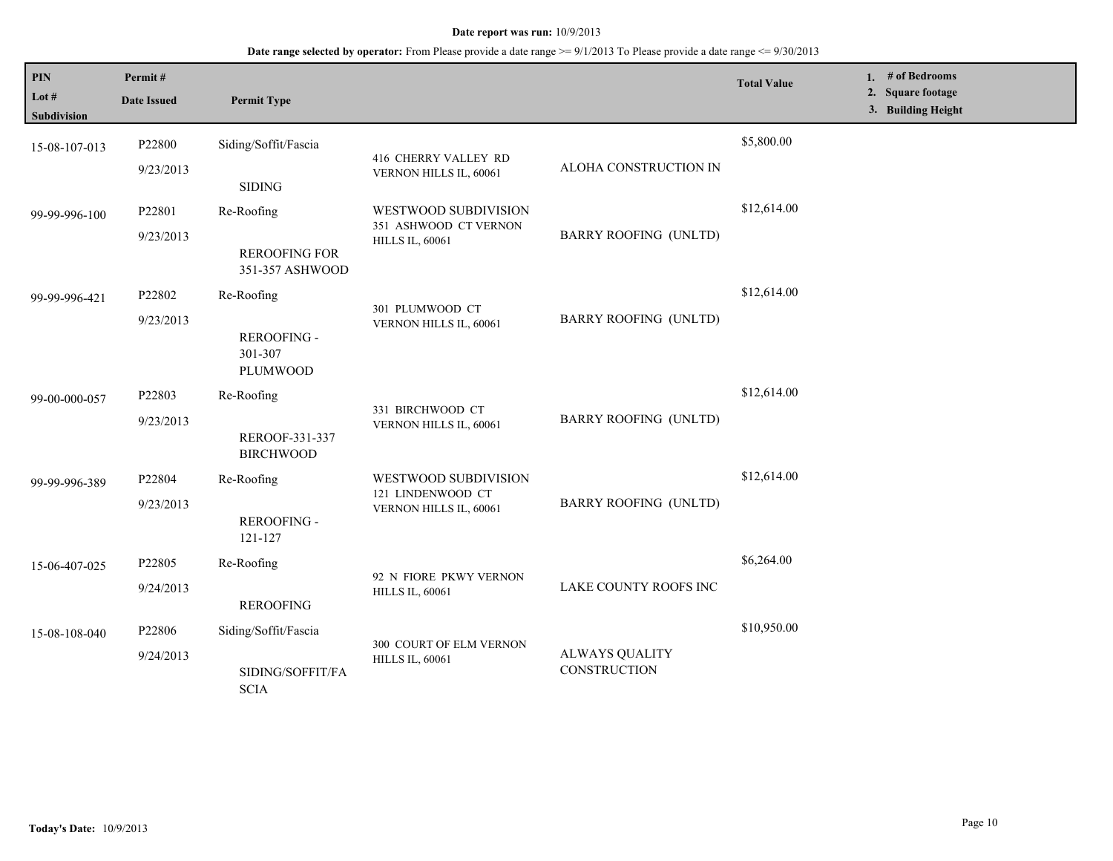| PIN                         | Permit#             |                                                              |                                                                         |                                       | <b>Total Value</b> | 1. # of Bedrooms<br>2. Square footage |
|-----------------------------|---------------------|--------------------------------------------------------------|-------------------------------------------------------------------------|---------------------------------------|--------------------|---------------------------------------|
| Lot #<br><b>Subdivision</b> | <b>Date Issued</b>  | <b>Permit Type</b>                                           |                                                                         |                                       |                    | 3. Building Height                    |
| 15-08-107-013               | P22800<br>9/23/2013 | Siding/Soffit/Fascia                                         | 416 CHERRY VALLEY RD<br>VERNON HILLS IL, 60061                          | ALOHA CONSTRUCTION IN                 | \$5,800.00         |                                       |
| 99-99-996-100               | P22801<br>9/23/2013 | <b>SIDING</b><br>Re-Roofing<br><b>REROOFING FOR</b>          | WESTWOOD SUBDIVISION<br>351 ASHWOOD CT VERNON<br><b>HILLS IL, 60061</b> | <b>BARRY ROOFING (UNLTD)</b>          | \$12,614.00        |                                       |
| 99-99-996-421               | P22802<br>9/23/2013 | 351-357 ASHWOOD<br>Re-Roofing<br>REROOFING -<br>301-307      | 301 PLUMWOOD CT<br>VERNON HILLS IL, 60061                               | <b>BARRY ROOFING (UNLTD)</b>          | \$12,614.00        |                                       |
| 99-00-000-057               | P22803<br>9/23/2013 | PLUMWOOD<br>Re-Roofing<br>REROOF-331-337<br><b>BIRCHWOOD</b> | 331 BIRCHWOOD CT<br>VERNON HILLS IL, 60061                              | <b>BARRY ROOFING (UNLTD)</b>          | \$12,614.00        |                                       |
| 99-99-996-389               | P22804<br>9/23/2013 | Re-Roofing<br>REROOFING -<br>121-127                         | WESTWOOD SUBDIVISION<br>121 LINDENWOOD CT<br>VERNON HILLS IL, 60061     | <b>BARRY ROOFING (UNLTD)</b>          | \$12,614.00        |                                       |
| 15-06-407-025               | P22805<br>9/24/2013 | Re-Roofing<br><b>REROOFING</b>                               | 92 N FIORE PKWY VERNON<br><b>HILLS IL, 60061</b>                        | LAKE COUNTY ROOFS INC                 | \$6,264.00         |                                       |
| 15-08-108-040               | P22806<br>9/24/2013 | Siding/Soffit/Fascia<br>SIDING/SOFFIT/FA<br><b>SCIA</b>      | 300 COURT OF ELM VERNON<br><b>HILLS IL, 60061</b>                       | <b>ALWAYS QUALITY</b><br>CONSTRUCTION | \$10,950.00        |                                       |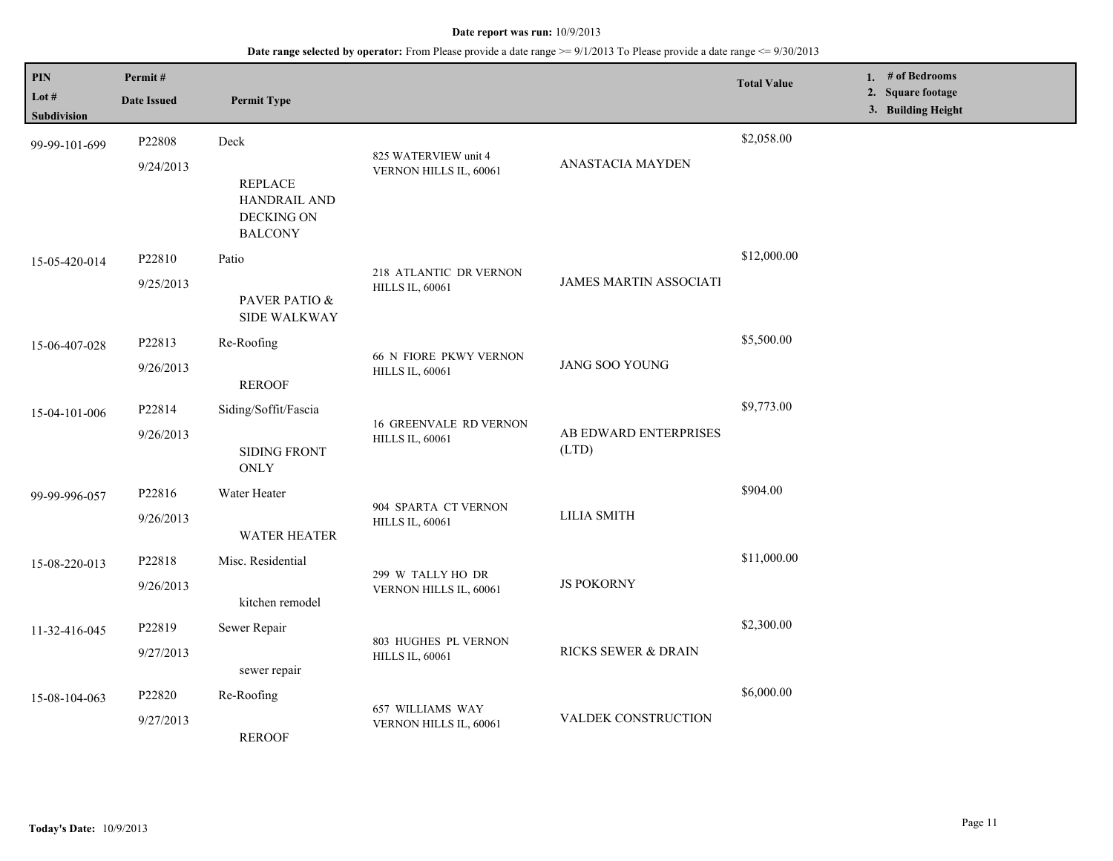| PIN<br>Lot #<br><b>Subdivision</b> | Permit#<br><b>Date Issued</b> | <b>Permit Type</b>                                                     |                                                         |                                | <b>Total Value</b> | 1. # of Bedrooms<br>2. Square footage<br>3. Building Height |
|------------------------------------|-------------------------------|------------------------------------------------------------------------|---------------------------------------------------------|--------------------------------|--------------------|-------------------------------------------------------------|
| 99-99-101-699                      | P22808<br>9/24/2013           | Deck<br><b>REPLACE</b><br>HANDRAIL AND<br>DECKING ON<br><b>BALCONY</b> | 825 WATERVIEW unit 4<br>VERNON HILLS IL, 60061          | ANASTACIA MAYDEN               | \$2,058.00         |                                                             |
| 15-05-420-014                      | P22810<br>9/25/2013           | Patio<br>PAVER PATIO &<br><b>SIDE WALKWAY</b>                          | 218 ATLANTIC DR VERNON<br><b>HILLS IL, 60061</b>        | <b>JAMES MARTIN ASSOCIATI</b>  | \$12,000.00        |                                                             |
| 15-06-407-028                      | P22813<br>9/26/2013           | Re-Roofing<br><b>REROOF</b>                                            | <b>66 N FIORE PKWY VERNON</b><br><b>HILLS IL, 60061</b> | <b>JANG SOO YOUNG</b>          | \$5,500.00         |                                                             |
| 15-04-101-006                      | P22814<br>9/26/2013           | Siding/Soffit/Fascia<br><b>SIDING FRONT</b><br><b>ONLY</b>             | <b>16 GREENVALE RD VERNON</b><br><b>HILLS IL, 60061</b> | AB EDWARD ENTERPRISES<br>(LTD) | \$9,773.00         |                                                             |
| 99-99-996-057                      | P22816<br>9/26/2013           | Water Heater<br><b>WATER HEATER</b>                                    | 904 SPARTA CT VERNON<br><b>HILLS IL, 60061</b>          | <b>LILIA SMITH</b>             | \$904.00           |                                                             |
| 15-08-220-013                      | P22818<br>9/26/2013           | Misc. Residential<br>kitchen remodel                                   | 299 W TALLY HO DR<br>VERNON HILLS IL, 60061             | <b>JS POKORNY</b>              | \$11,000.00        |                                                             |
| 11-32-416-045                      | P22819<br>9/27/2013           | Sewer Repair<br>sewer repair                                           | 803 HUGHES PL VERNON<br><b>HILLS IL, 60061</b>          | RICKS SEWER & DRAIN            | \$2,300.00         |                                                             |
| 15-08-104-063                      | P22820<br>9/27/2013           | Re-Roofing<br><b>REROOF</b>                                            | 657 WILLIAMS WAY<br>VERNON HILLS IL, 60061              | VALDEK CONSTRUCTION            | \$6,000.00         |                                                             |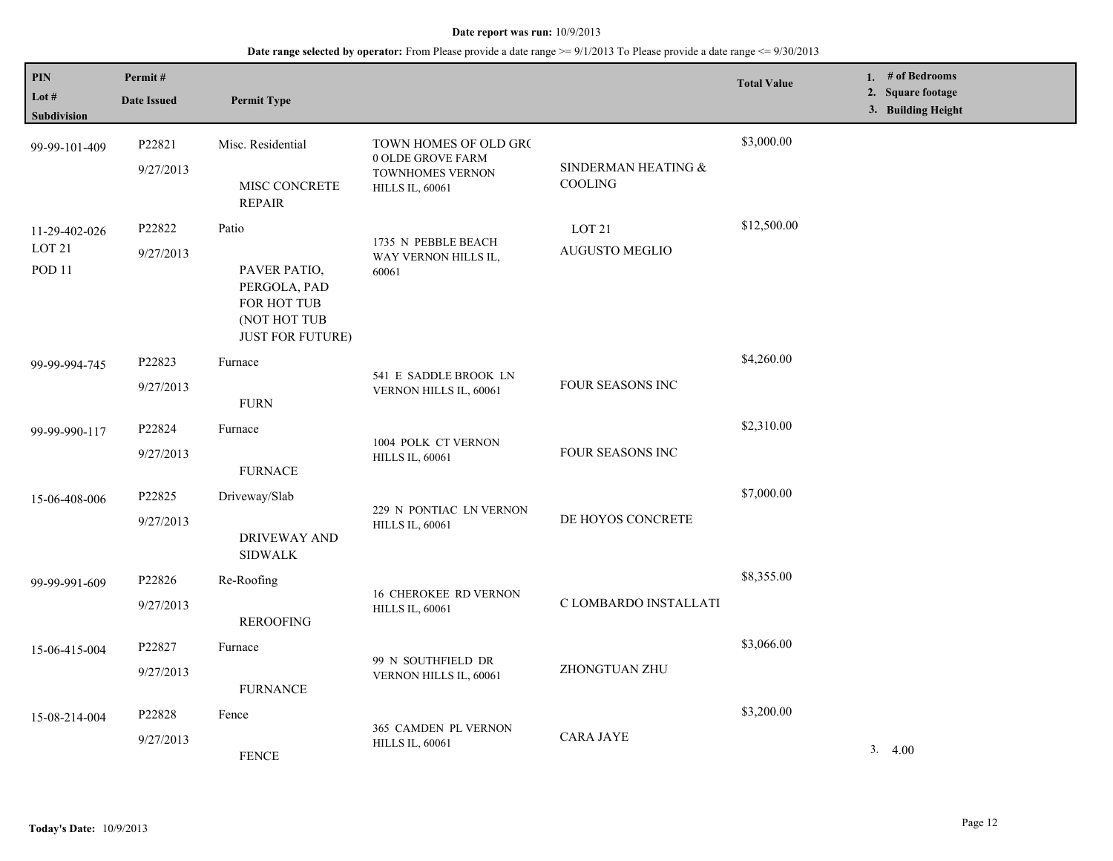| PIN<br>Lot $#$<br><b>Subdivision</b>                    | Permit#<br><b>Date Issued</b> | <b>Permit Type</b>                                                                              |                                                                                          |                                       | <b>Total Value</b> | 1. # of Bedrooms<br>2. Square footage<br>3. Building Height |
|---------------------------------------------------------|-------------------------------|-------------------------------------------------------------------------------------------------|------------------------------------------------------------------------------------------|---------------------------------------|--------------------|-------------------------------------------------------------|
| 99-99-101-409                                           | P22821<br>9/27/2013           | Misc. Residential<br>MISC CONCRETE<br><b>REPAIR</b>                                             | TOWN HOMES OF OLD GRO<br>0 OLDE GROVE FARM<br>TOWNHOMES VERNON<br><b>HILLS IL, 60061</b> | SINDERMAN HEATING &<br><b>COOLING</b> | \$3,000.00         |                                                             |
| 11-29-402-026<br>LOT <sub>21</sub><br>POD <sub>11</sub> | P22822<br>9/27/2013           | Patio<br>PAVER PATIO,<br>PERGOLA, PAD<br>FOR HOT TUB<br>(NOT HOT TUB<br><b>JUST FOR FUTURE)</b> | 1735 N PEBBLE BEACH<br>WAY VERNON HILLS IL,<br>60061                                     | LOT <sub>21</sub><br>AUGUSTO MEGLIO   | \$12,500.00        |                                                             |
| 99-99-994-745                                           | P22823<br>9/27/2013           | Furnace<br><b>FURN</b>                                                                          | 541 E SADDLE BROOK LN<br>VERNON HILLS IL, 60061                                          | FOUR SEASONS INC                      | \$4,260.00         |                                                             |
| 99-99-990-117                                           | P22824<br>9/27/2013           | Furnace<br><b>FURNACE</b>                                                                       | 1004 POLK CT VERNON<br><b>HILLS IL, 60061</b>                                            | <b>FOUR SEASONS INC</b>               | \$2,310.00         |                                                             |
| 15-06-408-006                                           | P22825<br>9/27/2013           | Driveway/Slab<br><b>DRIVEWAY AND</b><br><b>SIDWALK</b>                                          | 229 N PONTIAC LN VERNON<br><b>HILLS IL, 60061</b>                                        | DE HOYOS CONCRETE                     | \$7,000.00         |                                                             |
| 99-99-991-609                                           | P22826<br>9/27/2013           | Re-Roofing<br><b>REROOFING</b>                                                                  | <b>16 CHEROKEE RD VERNON</b><br><b>HILLS IL, 60061</b>                                   | C LOMBARDO INSTALLATI                 | \$8,355.00         |                                                             |
| 15-06-415-004                                           | P22827<br>9/27/2013           | Furnace<br><b>FURNANCE</b>                                                                      | 99 N SOUTHFIELD DR<br>VERNON HILLS IL, 60061                                             | ZHONGTUAN ZHU                         | \$3,066.00         |                                                             |
| 15-08-214-004                                           | P22828<br>9/27/2013           | Fence<br><b>FENCE</b>                                                                           | 365 CAMDEN PL VERNON<br><b>HILLS IL, 60061</b>                                           | <b>CARA JAYE</b>                      | \$3,200.00         | 3.4.00                                                      |